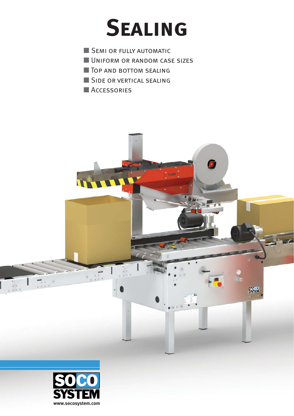# **Sealing**

 $\frac{5000}{5001}$ 

 $\frac{1}{2}$ 

- **SEMI OR FULLY AUTOMATIC**
- **UNIFORM OR RANDOM CASE SIZES**
- **THE TOP AND BOTTOM SEALING**
- SIDE OR VERTICAL SEALING
- ACCESSORIES

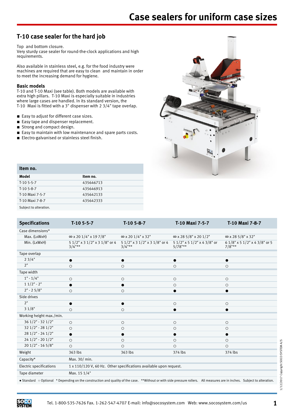## **T-10 case sealer for the hard job**

Top and bottom closure.

Very sturdy case sealer for round-the-clock applications and high requirements.

Also available in stainless steel, e.g. for the food industry were machines are required that are easy to clean and maintain in order to meet the increasing demand for hygiene.

#### **Basic models**

T-10 and T-10 Maxi (see table). Both models are available with extra high pillars. T-10 Maxi is especially suitable in industries where large cases are handled. In its standard version, the T-10 Maxi is fitted with a 3" dispenser with 2 3/4" tape overlap.

- Easy to adjust for different case sizes.
- Easy tape and dispenser replacement.
- Strong and compact design.
- Easy to maintain with low maintenance and spare parts costs.
- Electro-galvanised or stainless steel finish.



| Item no.               |           |
|------------------------|-----------|
| Model                  | Item no.  |
| $T-105-5-7$            | 435646713 |
| $T-105-8-7$            | 435646913 |
| T-10 Maxi 7-5-7        | 435642133 |
| T-10 Maxi 7-8-7        | 435642333 |
| Subject to alteration. |           |

| <b>Specifications</b>          | $T-105-5-7$                                                        | $T-105-8-7$                                | T-10 Maxi 7-5-7                           | T-10 Maxi 7-8-7                            |  |
|--------------------------------|--------------------------------------------------------------------|--------------------------------------------|-------------------------------------------|--------------------------------------------|--|
| Case dimensions*               |                                                                    |                                            |                                           |                                            |  |
| Max. (LxWxH)                   | $\infty$ x 20 1/4" x 19 7/8"                                       | $\infty$ x 20 1/4" x 32"                   | $\infty$ x 28 5/8" x 20 1/2"              | $\infty$ x 28 5/8" x 32"                   |  |
| Min. (LxWxH)                   | 5 1/2" x 3 1/2" x 3 1/8" or 4<br>$3/4$ "**                         | 5 1/2" x 3 1/2" x 3 1/8" or 4<br>$3/4$ "** | 5 1/2" x 5 1/2" x 4 3/8" or<br>$5/78$ "** | 6 1/8" x 5 1/2" x 4 3/8" or 5<br>$7/8$ "** |  |
| Tape overlap                   |                                                                    |                                            |                                           |                                            |  |
| 23/4"                          |                                                                    |                                            |                                           |                                            |  |
| 2"                             | $\circ$                                                            | $\circ$                                    | $\circ$                                   | $\circ$                                    |  |
| Tape width                     |                                                                    |                                            |                                           |                                            |  |
| $1" - 1/4"$                    | $\circ$                                                            | $\circ$                                    | $\circ$                                   | $\circ$                                    |  |
| $11/2" - 2"$                   |                                                                    |                                            | $\circ$                                   | $\circ$                                    |  |
| $2" - 25/8"$                   | $\circ$                                                            | $\circlearrowright$                        |                                           |                                            |  |
| Side drives                    |                                                                    |                                            |                                           |                                            |  |
| 2"                             |                                                                    |                                            | $\circ$                                   | $\circ$                                    |  |
| 31/8"                          | $\circ$                                                            | $\circ$                                    |                                           |                                            |  |
| Working height max./min.       |                                                                    |                                            |                                           |                                            |  |
| $361/2" - 321/2"$              | $\circ$                                                            | $\circ$                                    | $\circ$                                   | $\circ$                                    |  |
| $321/2" - 281/2"$              | $\circ$                                                            | $\circlearrowright$                        | $\circ$                                   | $\circ$                                    |  |
| $281/2" - 241/2"$              | 0                                                                  | $\bullet$                                  |                                           |                                            |  |
| $241/2" - 201/2"$              | $\circ$                                                            | $\circ$                                    | $\circ$                                   | $\circ$                                    |  |
| $201/2" - 165/8"$              | $\circ$                                                            | $\circ$                                    | $\circ$                                   | $\circ$                                    |  |
| Weight                         | 363 lbs                                                            | 363 lbs                                    | 374 lbs                                   | 374 lbs                                    |  |
| Capacity*                      | Max. 30/ min.                                                      |                                            |                                           |                                            |  |
| <b>Electric specifications</b> | 1 x 110/120 V, 60 Hz. Other specifications available upon request. |                                            |                                           |                                            |  |
| Tape diameter                  | Max. 15 1/4"                                                       |                                            |                                           |                                            |  |
|                                |                                                                    |                                            |                                           |                                            |  |

● Standard ○ Optional \* Depending on the construction and quality of the case. \*\*Without or with side pressure rollers. All measures are in inches. Subject to alteration.

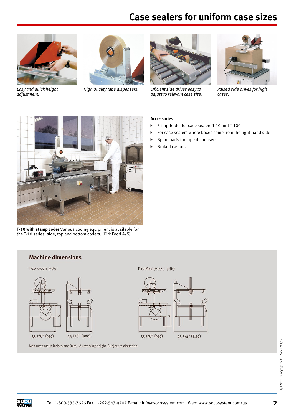## **Case sealers for uniform case sizes**



*Easy and quick height adjustment.*

*High quality tape dispensers. Efficient side drives easy to*



*adjust to relevant case size.*



*Raised side drives for high cases.*



- 3-flap-folder for case sealers T-10 and T-100  $\blacktriangleright$
- For case sealers where boxes come from the right-hand side
- Spare parts for tape dispensers
- Braked castors



**T-10 with stamp coder** Various coding equipment is available for the T-10 series: side, top and bottom coders. (Kirk Food A/S)

### **Machine dimensions**





#### T-10 Maxi 7-5-7 / 7-8-7



Measures are in inches and (mm). A= working height. Subject to alteration.